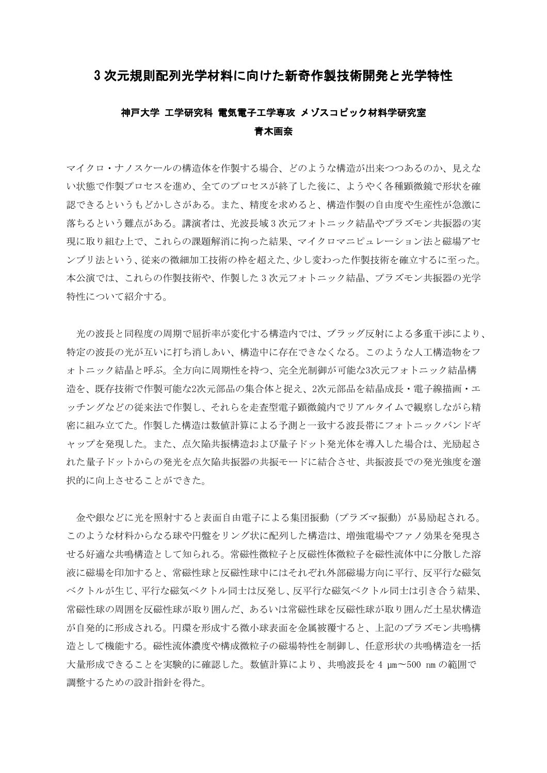## 3 次元規則配列光学材料に向けた新奇作製技術開発と光学特性

## 神戸大学 工学研究科 電気電子工学専攻 メゾスコピック材料学研究室 青木画奈

マイクロ・ナノスケールの構造体を作製する場合、どのような構造が出来つつあるのか、見えな い状態で作製プロセスを進め、全てのプロセスが終了した後に、ようやく各種顕微鏡で形状を確 認できるというもどかしさがある。また、精度を求めると、構造作製の自由度や生産性が急激に 落ちるという難点がある。講演者は、光波長域 3 次元フォトニック結晶やプラズモン共振器の実 現に取り組む上で、これらの課題解消に拘った結果、マイクロマニピュレーション法と磁場アセ ンブリ法という、従来の微細加工技術の枠を超えた、少し変わった作製技術を確立するに至った。 本公演では、これらの作製技術や、作製した 3 次元フォトニック結晶、プラズモン共振器の光学 特性について紹介する。

光の波長と同程度の周期で屈折率が変化する構造内では、ブラッグ反射による多重干渉により、 特定の波長の光が互いに打ち消しあい、構造中に存在できなくなる。このような人工構造物をフ ォトニック結晶と呼ぶ。全方向に周期性を持つ、完全光制御が可能な3次元フォトニック結晶構 造を、既存技術で作製可能な2次元部品の集合体と捉え、2次元部品を結晶成長・電子線描画・エ ッチングなどの従来法で作製し、それらを走査型電子顕微鏡内でリアルタイムで観察しながら精 密に組み立てた。作製した構造は数値計算による予測と一致する波長帯にフォトニックバンドギ ャップを発現した。また、点欠陥共振構造および量子ドット発光体を導入した場合は、光励起さ れた量子ドットからの発光を点欠陥共振器の共振モードに結合させ、共振波長での発光強度を選 択的に向上させることができた。

金や銀などに光を照射すると表面自由電子による集団振動(プラズマ振動)が易励起される。 このような材料からなる球や円盤をリング状に配列した構造は、増強電場やファノ効果を発現さ せる好適な共鳴構造として知られる。常磁性微粒子と反磁性体微粒子を磁性流体中に分散した溶 液に磁場を印加すると、常磁性球と反磁性球中にはそれぞれ外部磁場方向に平行、反平行な磁気 ベクトルが生じ、平行な磁気ベクトル同士は反発し、反平行な磁気ベクトル同士は引き合う結果、 常磁性球の周囲を反磁性球が取り囲んだ、あるいは常磁性球を反磁性球が取り囲んだ土星状構造 が自発的に形成される。円環を形成する微小球表面を金属被覆すると、上記のプラズモン共鳴構 造として機能する。磁性流体濃度や構成微粒子の磁場特性を制御し、任意形状の共鳴構造を一括 大量形成できることを実験的に確認した。数値計算により、共鳴波長を 4 µm〜500 nm の範囲で 調整するための設計指針を得た。